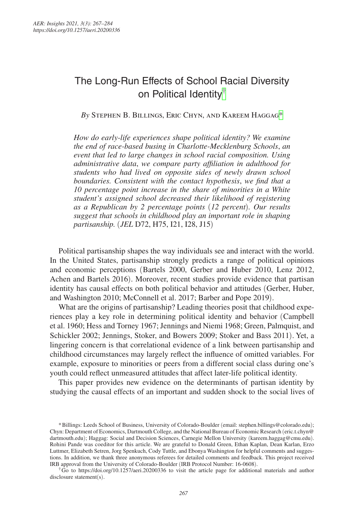# The Long-Run Effects of School Racial Diversity on Political Identity[†](#page-0-0)

*By* Stephen B. Billings, Eric Chyn, and Kareem Hagga[g\\*](#page-0-1)

*How do early-life experiences shape political identity? We examine the end of race-based busing in Charlotte-Mecklenburg Schools*, *an event that led to large changes in school racial composition. Using administrative data*, *we compare party affiliation in adulthood for students who had lived on opposite sides of newly drawn school boundaries. Consistent with the contact hypothesis*, *we find that a 10 percentage point increase in the share of minorities in a White student's assigned school decreased their likelihood of registering as a Republican by 2 percentage points* (*12 percent*)*. Our results suggest that schools in childhood play an important role in shaping partisanship.* (*JEL* D72, H75, I21, I28, J15)

Political partisanship shapes the way individuals see and interact with the world. In the United States, partisanship strongly predicts a range of political opinions and economic perceptions (Bartels 2000, Gerber and Huber 2010, Lenz 2012, Achen and Bartels 2016). Moreover, recent studies provide evidence that partisan identity has causal effects on both political behavior and attitudes (Gerber, Huber, and Washington 2010; McConnell et al. 2017; Barber and Pope 2019).

What are the origins of partisanship? Leading theories posit that childhood experiences play a key role in determining political identity and behavior (Campbell et al. 1960; Hess and Torney 1967; Jennings and Niemi 1968; Green, Palmquist, and Schickler 2002; Jennings, Stoker, and Bowers 2009; Stoker and Bass 2011). Yet, a lingering concern is that correlational evidence of a link between partisanship and childhood circumstances may largely reflect the influence of omitted variables. For example, exposure to minorities or peers from a different social class during one's youth could reflect unmeasured attitudes that affect later-life political identity.

This paper provides new evidence on the determinants of partisan identity by studying the causal effects of an important and sudden shock to the social lives of

<span id="page-0-1"></span><sup>\*</sup>Billings: Leeds School of Business, University of Colorado-Boulder (email: [stephen.billings@colorado.edu](mailto:stephen.billings@colorado.edu)); Chyn: Department of Economics, Dartmouth College, and the National Bureau of Economic Research ([eric.t.chyn@](mailto:eric.t.chyn@dartmouth.edu) [dartmouth.edu](mailto:eric.t.chyn@dartmouth.edu)); Haggag: Social and Decision Sciences, Carnegie Mellon University ([kareem.haggag@cmu.edu](mailto:kareem.haggag@cmu.edu)). Rohini Pande was coeditor for this article. We are grateful to Donald Green, Ethan Kaplan, Dean Karlan, Erzo Luttmer, Elizabeth Setren, Jorg Spenkuch, Cody Tuttle, and Ebonya Washington for helpful comments and suggestions. In addition, we thank three anonymous referees for detailed comments and feedback. This project received IRB approval from the University of Colorado-Boulder (IRB Protocol Number: 16-0608). †Go to <https://doi.org/10.1257/aeri.20200336> to visit the article page for additional materials and author

<span id="page-0-0"></span>disclosure statement(s).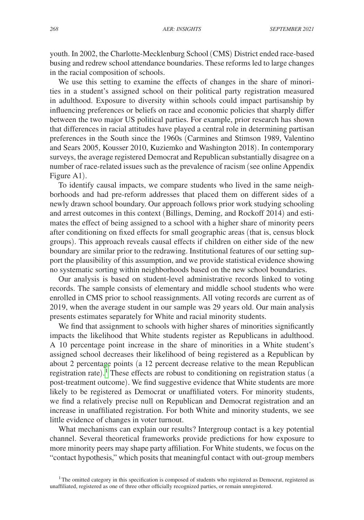youth. In 2002, the Charlotte-Mecklenburg School (CMS) District ended race-based busing and redrew school attendance boundaries. These reforms led to large changes in the racial composition of schools.

We use this setting to examine the effects of changes in the share of minorities in a student's assigned school on their political party registration measured in adulthood. Exposure to diversity within schools could impact partisanship by influencing preferences or beliefs on race and economic policies that sharply differ between the two major US political parties. For example, prior research has shown that differences in racial attitudes have played a central role in determining partisan preferences in the South since the 1960s (Carmines and Stimson 1989, Valentino and Sears 2005, Kousser 2010, Kuziemko and Washington 2018). In contemporary surveys, the average registered Democrat and Republican substantially disagree on a number of race-related issues such as the prevalence of racism (see online Appendix Figure A1).

To identify causal impacts, we compare students who lived in the same neighborhoods and had pre-reform addresses that placed them on different sides of a newly drawn school boundary. Our approach follows prior work studying schooling and arrest outcomes in this context (Billings, Deming, and Rockoff 2014) and estimates the effect of being assigned to a school with a higher share of minority peers after conditioning on fixed effects for small geographic areas (that is, census block groups). This approach reveals causal effects if children on either side of the new boundary are similar prior to the redrawing. Institutional features of our setting support the plausibility of this assumption, and we provide statistical evidence showing no systematic sorting within neighborhoods based on the new school boundaries.

Our analysis is based on student-level administrative records linked to voting records. The sample consists of elementary and middle school students who were enrolled in CMS prior to school reassignments. All voting records are current as of 2019, when the average student in our sample was 29 years old. Our main analysis presents estimates separately for White and racial minority students.

We find that assignment to schools with higher shares of minorities significantly impacts the likelihood that White students register as Republicans in adulthood. A 10 percentage point increase in the share of minorities in a White student's assigned school decreases their likelihood of being registered as a Republican by about 2 percentage points (a 12 percent decrease relative to the mean Republican registration rate).<sup>[1](#page-1-0)</sup> These effects are robust to conditioning on registration status (a post-treatment outcome). We find suggestive evidence that White students are more likely to be registered as Democrat or unaffiliated voters. For minority students, we find a relatively precise null on Republican and Democrat registration and an increase in unaffiliated registration. For both White and minority students, we see little evidence of changes in voter turnout.

What mechanisms can explain our results? Intergroup contact is a key potential channel. Several theoretical frameworks provide predictions for how exposure to more minority peers may shape party affiliation. For White students, we focus on the "contact hypothesis," which posits that meaningful contact with out-group members

<span id="page-1-0"></span><sup>1</sup>The omitted category in this specification is composed of students who registered as Democrat, registered as unaffiliated, registered as one of three other officially recognized parties, or remain unregistered.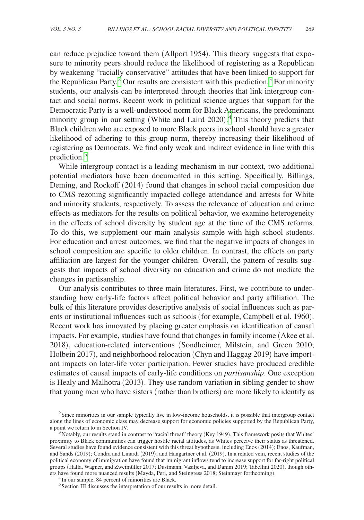can reduce prejudice toward them (Allport 1954). This theory suggests that exposure to minority peers should reduce the likelihood of registering as a Republican by weakening "racially conservative" attitudes that have been linked to support for the Republican Party.<sup>[2](#page-2-0)</sup> Our results are consistent with this prediction.<sup>3</sup> For minority students, our analysis can be interpreted through theories that link intergroup contact and social norms. Recent work in political science argues that support for the Democratic Party is a well-understood norm for Black Americans, the predominant minority group in our setting (White and Laird 2020). [4](#page-2-2) This theory predicts that Black children who are exposed to more Black peers in school should have a greater likelihood of adhering to this group norm, thereby increasing their likelihood of registering as Democrats. We find only weak and indirect evidence in line with this prediction[.5](#page-2-3)

While intergroup contact is a leading mechanism in our context, two additional potential mediators have been documented in this setting. Specifically, Billings, Deming, and Rockoff (2014) found that changes in school racial composition due to CMS rezoning significantly impacted college attendance and arrests for White and minority students, respectively. To assess the relevance of education and crime effects as mediators for the results on political behavior, we examine heterogeneity in the effects of school diversity by student age at the time of the CMS reforms. To do this, we supplement our main analysis sample with high school students. For education and arrest outcomes, we find that the negative impacts of changes in school composition are specific to older children. In contrast, the effects on party affiliation are largest for the younger children. Overall, the pattern of results suggests that impacts of school diversity on education and crime do not mediate the changes in partisanship.

Our analysis contributes to three main literatures. First, we contribute to understanding how early-life factors affect political behavior and party affiliation. The bulk of this literature provides descriptive analysis of social influences such as parents or institutional influences such as schools (for example, Campbell et al. 1960). Recent work has innovated by placing greater emphasis on identification of causal impacts. For example, studies have found that changes in family income (Akee et al. 2018), education-related interventions (Sondheimer, Milstein, and Green 2010; Holbein 2017), and neighborhood relocation (Chyn and Haggag 2019) have important impacts on later-life voter participation. Fewer studies have produced credible estimates of causal impacts of early-life conditions on *partisanship*. One exception is Healy and Malhotra (2013). They use random variation in sibling gender to show that young men who have sisters (rather than brothers) are more likely to identify as

<span id="page-2-0"></span><sup>2</sup>Since minorities in our sample typically live in low-income households, it is possible that intergroup contact along the lines of economic class may decrease support for economic policies supported by the Republican Party,

<span id="page-2-1"></span>a point we return to in Section IV.<br><sup>3</sup>Notably, our results stand in contrast to "racial threat" theory (Key 1949). This framework posits that Whites' proximity to Black communities can trigger hostile racial attitudes, as Whites perceive their status as threatened. Several studies have found evidence consistent with this threat hypothesis, including Enos (2014); Enos, Kaufman, and Sands (2019); Condra and Linardi (2019); and Hangartner et al. (2019). In a related vein, recent studies of the political economy of immigration have found that immigrant inflows tend to increase support for far-right political groups (Halla, Wagner, and Zweimüller 2017; Dustmann, Vasiljeva, and Damm 2019; Tabellini 2020), though others have found more nuanced results (Mayda, Peri, and Steingress 2018; Steinmayr forthcoming). 4In our sample, 84 percent of minorities are Black.

<span id="page-2-2"></span>

<span id="page-2-3"></span><sup>&</sup>lt;sup>5</sup> Section III discusses the interpretation of our results in more detail.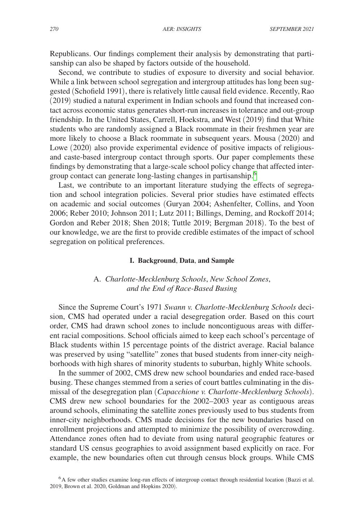Republicans. Our findings complement their analysis by demonstrating that partisanship can also be shaped by factors outside of the household.

Second, we contribute to studies of exposure to diversity and social behavior. While a link between school segregation and intergroup attitudes has long been suggested (Schofield 1991), there is relatively little causal field evidence. Recently, Rao (2019) studied a natural experiment in Indian schools and found that increased contact across economic status generates short-run increases in tolerance and out-group friendship. In the United States, Carrell, Hoekstra, and West (2019) find that White students who are randomly assigned a Black roommate in their freshmen year are more likely to choose a Black roommate in subsequent years. Mousa (2020) and Lowe (2020) also provide experimental evidence of positive impacts of religiousand caste-based intergroup contact through sports. Our paper complements these findings by demonstrating that a large-scale school policy change that affected inter-group contact can generate long-lasting changes in partisanship.<sup>[6](#page-3-0)</sup>

Last, we contribute to an important literature studying the effects of segregation and school integration policies. Several prior studies have estimated effects on academic and social outcomes (Guryan 2004; Ashenfelter, Collins, and Yoon 2006; Reber 2010; Johnson 2011; Lutz 2011; Billings, Deming, and Rockoff 2014; Gordon and Reber 2018; Shen 2018; Tuttle 2019; Bergman 2018). To the best of our knowledge, we are the first to provide credible estimates of the impact of school segregation on political preferences.

## **I. Background**, **Data**, **and Sample**

## A. *Charlotte-Mecklenburg Schools*, *New School Zones*, *and the End of Race-Based Busing*

Since the Supreme Court's 1971 *Swann v. Charlotte-Mecklenburg Schools* decision, CMS had operated under a racial desegregation order. Based on this court order, CMS had drawn school zones to include noncontiguous areas with different racial compositions. School officials aimed to keep each school's percentage of Black students within 15 percentage points of the district average. Racial balance was preserved by using "satellite" zones that bused students from inner-city neighborhoods with high shares of minority students to suburban, highly White schools.

In the summer of 2002, CMS drew new school boundaries and ended race-based busing. These changes stemmed from a series of court battles culminating in the dismissal of the desegregation plan (*Capacchione v. Charlotte-Mecklenburg Schools*). CMS drew new school boundaries for the 2002–2003 year as contiguous areas around schools, eliminating the satellite zones previously used to bus students from inner-city neighborhoods. CMS made decisions for the new boundaries based on enrollment projections and attempted to minimize the possibility of overcrowding. Attendance zones often had to deviate from using natural geographic features or standard US census geographies to avoid assignment based explicitly on race. For example, the new boundaries often cut through census block groups. While CMS

<span id="page-3-0"></span><sup>6</sup>A few other studies examine long-run effects of intergroup contact through residential location (Bazzi et al. 2019, Brown et al. 2020, Goldman and Hopkins 2020).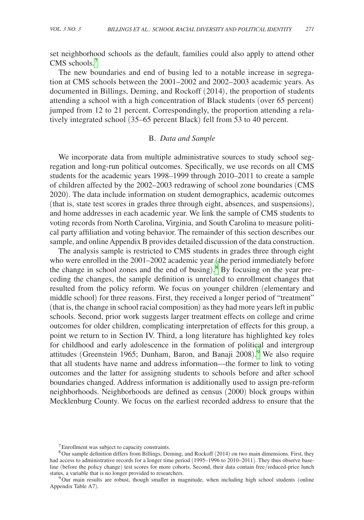set neighborhood schools as the default, families could also apply to attend other CMS schools.<sup>[7](#page-4-0)</sup>

The new boundaries and end of busing led to a notable increase in segregation at CMS schools between the 2001–2002 and 2002–2003 academic years. As documented in Billings, Deming, and Rockoff (2014), the proportion of students attending a school with a high concentration of Black students (over 65 percent) jumped from 12 to 21 percent. Correspondingly, the proportion attending a relatively integrated school (35–65 percent Black) fell from 53 to 40 percent.

## B. *Data and Sample*

We incorporate data from multiple administrative sources to study school segregation and long-run political outcomes. Specifically, we use records on all CMS students for the academic years 1998–1999 through 2010–2011 to create a sample of children affected by the 2002–2003 redrawing of school zone boundaries (CMS 2020). The data include information on student demographics, academic outcomes (that is, state test scores in grades three through eight, absences, and suspensions), and home addresses in each academic year. We link the sample of CMS students to voting records from North Carolina, Virginia, and South Carolina to measure political party affiliation and voting behavior. The remainder of this section describes our sample, and online Appendix B provides detailed discussion of the data construction.

The analysis sample is restricted to CMS students in grades three through eight who were enrolled in the 2001–2002 academic year (the period immediately before the change in school zones and the end of busing).<sup>[8](#page-4-1)</sup> By focusing on the year preceding the changes, the sample definition is unrelated to enrollment changes that resulted from the policy reform. We focus on younger children (elementary and middle school) for three reasons. First, they received a longer period of "treatment" (that is, the change in school racial composition) as they had more years left in public schools. Second, prior work suggests larger treatment effects on college and crime outcomes for older children, complicating interpretation of effects for this group, a point we return to in Section IV. Third, a long literature has highlighted key roles for childhood and early adolescence in the formation of political and intergroup attitudes (Greenstein 1965; Dunham, Baron, and Banaji 2008). [9](#page-4-2) We also require that all students have name and address information—the former to link to voting outcomes and the latter for assigning students to schools before and after school boundaries changed. Address information is additionally used to assign pre-reform neighborhoods. Neighborhoods are defined as census (2000) block groups within Mecklenburg County. We focus on the earliest recorded address to ensure that the

<span id="page-4-1"></span><span id="page-4-0"></span><sup>7</sup>Enrollment was subject to capacity constraints.

<sup>&</sup>lt;sup>8</sup>Our sample definition differs from Billings, Deming, and Rockoff (2014) on two main dimensions. First, they had access to administrative records for a longer time period (1995–1996 to 2010–2011). They thus observe baseline (before the policy change) test scores for more cohorts. Second, their data contain free/reduced-price lunch status, a variable that is no longer provided to researchers.

<span id="page-4-2"></span><sup>&</sup>lt;sup>9</sup>Our main results are robust, though smaller in magnitude, when including high school students (online Appendix Table A7).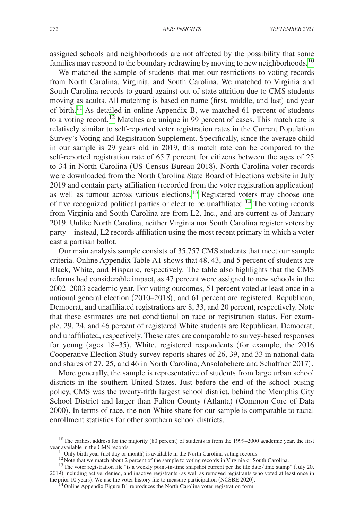assigned schools and neighborhoods are not affected by the possibility that some families may respond to the boundary redrawing by moving to new neighborhoods.<sup>10</sup>

We matched the sample of students that met our restrictions to voting records from North Carolina, Virginia, and South Carolina. We matched to Virginia and South Carolina records to guard against out-of-state attrition due to CMS students moving as adults. All matching is based on name (first, middle, and last) and year of birth.<sup>[11](#page-5-1)</sup> As detailed in online Appendix B, we matched 61 percent of students to a voting record.[12](#page-5-2) Matches are unique in 99 percent of cases. This match rate is relatively similar to self-reported voter registration rates in the Current Population Survey's Voting and Registration Supplement. Specifically, since the average child in our sample is 29 years old in 2019, this match rate can be compared to the self-reported registration rate of 65.7 percent for citizens between the ages of 25 to 34 in North Carolina (US Census Bureau 2018). North Carolina voter records were downloaded from the North Carolina State Board of Elections website in July 2019 and contain party affiliation (recorded from the voter registration application) as well as turnout across various elections.[13](#page-5-3) Registered voters may choose one of five recognized political parties or elect to be unaffiliated[.14](#page-5-4) The voting records from Virginia and South Carolina are from L2, Inc., and are current as of January 2019. Unlike North Carolina, neither Virginia nor South Carolina register voters by party—instead, L2 records affiliation using the most recent primary in which a voter cast a partisan ballot.

Our main analysis sample consists of 35,757 CMS students that meet our sample criteria. Online Appendix Table A1 shows that 48, 43, and 5 percent of students are Black, White, and Hispanic, respectively. The table also highlights that the CMS reforms had considerable impact, as 47 percent were assigned to new schools in the 2002–2003 academic year. For voting outcomes, 51 percent voted at least once in a national general election (2010–2018), and 61 percent are registered. Republican, Democrat, and unaffiliated registrations are 8, 33, and 20 percent, respectively. Note that these estimates are not conditional on race or registration status. For example, 29, 24, and 46 percent of registered White students are Republican, Democrat, and unaffiliated, respectively. These rates are comparable to survey-based responses for young (ages 18–35), White, registered respondents (for example, the 2016 Cooperative Election Study survey reports shares of 26, 39, and 33 in national data and shares of 27, 25, and 46 in North Carolina; Ansolabehere and Schaffner 2017).

More generally, the sample is representative of students from large urban school districts in the southern United States. Just before the end of the school busing policy, CMS was the twenty-fifth largest school district, behind the Memphis City School District and larger than Fulton County (Atlanta) (Common Core of Data 2000). In terms of race, the non-White share for our sample is comparable to racial enrollment statistics for other southern school districts.

<sup>&</sup>lt;sup>10</sup>The earliest address for the majority (80 percent) of students is from the 1999–2000 academic year, the first year available in the CMS records.

<span id="page-5-3"></span><span id="page-5-2"></span><span id="page-5-1"></span>

<span id="page-5-0"></span><sup>&</sup>lt;sup>11</sup> Only birth year (not day or month) is available in the North Carolina voting records.<br><sup>12</sup> Note that we match about 2 percent of the sample to voting records in Virginia or South Carolina.<br><sup>13</sup> The voter registration

<sup>2019)</sup> including active, denied, and inactive registrants (as well as removed registrants who voted at least once in the prior 10 years). We use the voter history file to measure participation (NCSBE 2020).

<span id="page-5-4"></span><sup>&</sup>lt;sup>14</sup> Online Appendix Figure B1 reproduces the North Carolina voter registration form.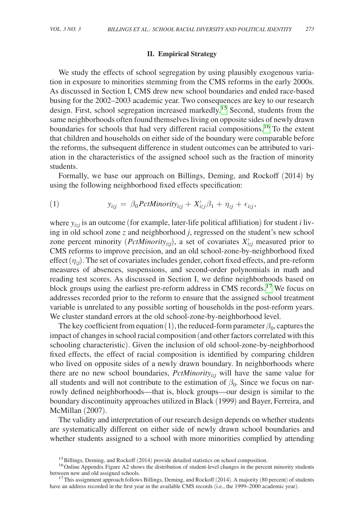## **II. Empirical Strategy**

We study the effects of school segregation by using plausibly exogenous variation in exposure to minorities stemming from the CMS reforms in the early 2000s. As discussed in Section I, CMS drew new school boundaries and ended race-based busing for the 2002–2003 academic year. Two consequences are key to our research design. First, school segregation increased markedly.<sup>[15](#page-6-0)</sup> Second, students from the same neighborhoods often found themselves living on opposite sides of newly drawn boundaries for schools that had very different racial compositions.[16](#page-6-1) To the extent that children and households on either side of the boundary were comparable before the reforms, the subsequent difference in student outcomes can be attributed to variation in the characteristics of the assigned school such as the fraction of minority students.

Formally, we base our approach on Billings, Deming, and Rockoff (2014) by using the following neighborhood fixed effects specification:

(1) 
$$
y_{izj} = \beta_0 PetMinority_{izj} + X'_{izj}\beta_1 + \eta_{zj} + \epsilon_{izj},
$$

where *yizj* is an outcome (for example, later-life political affiliation) for student *i* living in old school zone *z* and neighborhood *j*, regressed on the student's new school zone percent minority (*PctMinority<sub>izi</sub>*), a set of covariates  $X'_{ij}$  measured prior to CMS reforms to improve precision, and an old school-zone-by-neighborhood fixed effect  $(\eta_{zi})$ . The set of covariates includes gender, cohort fixed effects, and pre-reform measures of absences, suspensions, and second-order polynomials in math and reading test scores. As discussed in Section I, we define neighborhoods based on block groups using the earliest pre-reform address in CMS records.<sup>17</sup> We focus on addresses recorded prior to the reform to ensure that the assigned school treatment variable is unrelated to any possible sorting of households in the post-reform years. We cluster standard errors at the old school-zone-by-neighborhood level.

The key coefficient from equation (1), the reduced-form parameter  $\beta_0$ , captures the impact of changes in school racial composition (and other factors correlated with this schooling characteristic). Given the inclusion of old school-zone-by-neighborhood fixed effects, the effect of racial composition is identified by comparing children who lived on opposite sides of a newly drawn boundary. In neighborhoods where there are no new school boundaries,  $PctMinority_{i\tau i}$  will have the same value for all students and will not contribute to the estimation of  $\beta_0$ . Since we focus on narrowly defined neighborhoods—that is, block groups—our design is similar to the boundary discontinuity approaches utilized in Black (1999) and Bayer, Ferreira, and McMillan (2007).

The validity and interpretation of our research design depends on whether students are systematically different on either side of newly drawn school boundaries and whether students assigned to a school with more minorities complied by attending

<span id="page-6-1"></span><span id="page-6-0"></span>

<sup>&</sup>lt;sup>15</sup>Billings, Deming, and Rockoff (2014) provide detailed statistics on school composition.<br><sup>16</sup>Online Appendix Figure A2 shows the distribution of student-level changes in the percent minority students between new and old assigned schools.<br><sup>17</sup>This assignment approach follows Billings, Deming, and Rockoff (2014). A majority (80 percent) of students

<span id="page-6-2"></span>have an address recorded in the first year in the available CMS records (i.e., the 1999–2000 academic year).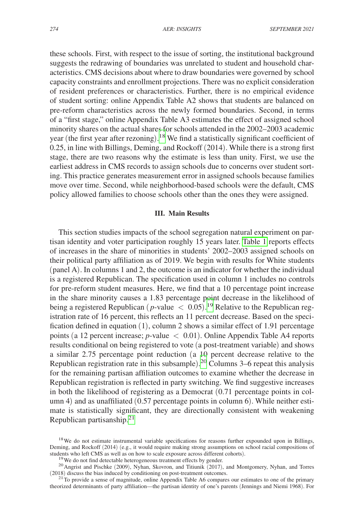these schools. First, with respect to the issue of sorting, the institutional background suggests the redrawing of boundaries was unrelated to student and household characteristics. CMS decisions about where to draw boundaries were governed by school capacity constraints and enrollment projections. There was no explicit consideration of resident preferences or characteristics. Further, there is no empirical evidence of student sorting: online Appendix Table A2 shows that students are balanced on pre-reform characteristics across the newly formed boundaries. Second, in terms of a "first stage," online Appendix Table A3 estimates the effect of assigned school minority shares on the actual shares for schools attended in the 2002–2003 academic year (the first year after rezoning). [18](#page-7-0) We find a statistically significant coefficient of 0.25, in line with Billings, Deming, and Rockoff (2014). While there is a strong first stage, there are two reasons why the estimate is less than unity. First, we use the earliest address in CMS records to assign schools due to concerns over student sorting. This practice generates measurement error in assigned schools because families move over time. Second, while neighborhood-based schools were the default, CMS policy allowed families to choose schools other than the ones they were assigned.

## **III. Main Results**

This section studies impacts of the school segregation natural experiment on partisan identity and voter participation roughly 15 years later. [Table 1](#page-8-0) reports effects of increases in the share of minorities in students' 2002–2003 assigned schools on their political party affiliation as of 2019. We begin with results for White students (panel A). In columns 1 and 2, the outcome is an indicator for whether the individual is a registered Republican. The specification used in column 1 includes no controls for pre-reform student measures. Here, we find that a 10 percentage point increase in the share minority causes a 1.83 percentage point decrease in the likelihood of being a registered Republican ( $p$ -value  $\langle 0.05 \rangle$ .<sup>[19](#page-7-1)</sup> Relative to the Republican registration rate of 16 percent, this reflects an 11 percent decrease. Based on the specification defined in equation (1), column 2 shows a similar effect of 1.91 percentage points (a 12 percent increase; *p*-value < 0.01). Online Appendix Table A4 reports results conditional on being registered to vote (a post-treatment variable) and shows a similar 2.75 percentage point reduction (a 10 percent decrease relative to the Republican registration rate in this subsample). [20](#page-7-2) Columns 3–6 repeat this analysis for the remaining partisan affiliation outcomes to examine whether the decrease in Republican registration is reflected in party switching. We find suggestive increases in both the likelihood of registering as a Democrat (0.71 percentage points in column 4) and as unaffiliated (0.57 percentage points in column 6). While neither estimate is statistically significant, they are directionally consistent with weakening Republican partisanship. $2<sup>1</sup>$ 

<span id="page-7-0"></span><sup>&</sup>lt;sup>18</sup>We do not estimate instrumental variable specifications for reasons further expounded upon in Billings, Deming, and Rockoff (2014) (e.g., it would require making strong assumptions on school racial compositions of students who left CMS as well as on how to scale exposure across different cohorts).

<span id="page-7-2"></span><span id="page-7-1"></span>

<sup>&</sup>lt;sup>19</sup> We do not find detectable heterogeneous treatment effects by gender.<br><sup>20</sup> Angrist and Pischke (2009), Nyhan, Skovron, and Titiunik (2017), and Montgomery, Nyhan, and Torres (2018) discuss the bias induced by conditio

<span id="page-7-3"></span> $21$ To provide a sense of magnitude, online Appendix Table A6 compares our estimates to one of the primary theorized determinants of party affiliation—the partisan identity of one's parents (Jennings and Niemi 1968). For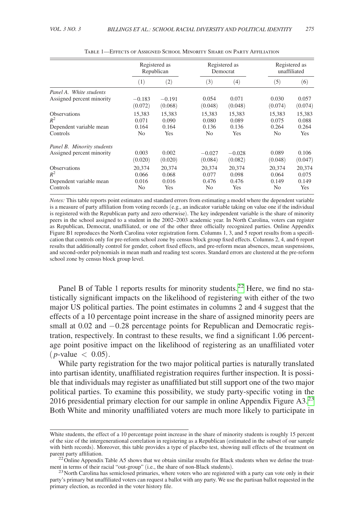<span id="page-8-0"></span>

|                            | Registered as  |          | Registered as  |                   | Registered as  |            |
|----------------------------|----------------|----------|----------------|-------------------|----------------|------------|
|                            | Republican     |          | Democrat       |                   | unaffiliated   |            |
|                            | $^{(1)}$       | (2)      | (3)            | $\left( 4\right)$ | (5)            | (6)        |
| Panel A. White students    |                |          |                |                   |                |            |
| Assigned percent minority  | $-0.183$       | $-0.191$ | 0.054          | 0.071             | 0.030          | 0.057      |
|                            | (0.072)        | (0.068)  | (0.048)        | (0.048)           | (0.074)        | (0.074)    |
| <b>Observations</b>        | 15.383         | 15.383   | 15,383         | 15.383            | 15,383         | 15,383     |
| $R^2$                      | 0.071          | 0.090    | 0.080          | 0.089             | 0.075          | 0.088      |
| Dependent variable mean    | 0.164          | 0.164    | 0.136          | 0.136             | 0.264          | 0.264      |
| Controls                   | No             | Yes      | N <sub>0</sub> | <b>Yes</b>        | No.            | <b>Yes</b> |
| Panel B. Minority students |                |          |                |                   |                |            |
| Assigned percent minority  | 0.003          | 0.002    | $-0.027$       | $-0.028$          | 0.089          | 0.106      |
|                            | (0.020)        | (0.020)  | (0.084)        | (0.082)           | (0.048)        | (0.047)    |
| <b>Observations</b>        | 20.374         | 20.374   | 20.374         | 20.374            | 20,374         | 20.374     |
| $R^2$                      | 0.066          | 0.068    | 0.077          | 0.098             | 0.064          | 0.075      |
| Dependent variable mean    | 0.016          | 0.016    | 0.476          | 0.476             | 0.149          | 0.149      |
| Controls                   | N <sub>0</sub> | Yes      | No             | Yes               | N <sub>0</sub> | <b>Yes</b> |

Table 1—Effects of Assigned School Minority Share on Party Affiliation

*Notes:* This table reports point estimates and standard errors from estimating a model where the dependent variable is a measure of party affiliation from voting records (e.g., an indicator variable taking on value one if the individual is registered with the Republican party and zero otherwise). The key independent variable is the share of minority peers in the school assigned to a student in the 2002–2003 academic year. In North Carolina, voters can register as Republican, Democrat, unaffiliated, or one of the other three officially recognized parties. Online Appendix Figure B1 reproduces the North Carolina voter registration form. Columns 1, 3, and 5 report results from a specification that controls only for pre-reform school zone by census block group fixed effects. Columns 2, 4, and 6 report results that additionally control for gender, cohort fixed effects, and pre-reform mean absences, mean suspensions, and second-order polynomials in mean math and reading test scores. Standard errors are clustered at the pre-reform school zone by census block group level.

Panel B of Table 1 reports results for minority students.<sup>22</sup> Here, we find no statistically significant impacts on the likelihood of registering with either of the two major US political parties. The point estimates in columns 2 and 4 suggest that the effects of a 10 percentage point increase in the share of assigned minority peers are small at 0.02 and −0.28 percentage points for Republican and Democratic registration, respectively. In contrast to these results, we find a significant 1.06 percentage point positive impact on the likelihood of registering as an unaffiliated voter  $(p$ -value  $( 0.05).$ 

While party registration for the two major political parties is naturally translated into partisan identity, unaffiliated registration requires further inspection. It is possible that individuals may register as unaffiliated but still support one of the two major political parties. To examine this possibility, we study party-specific voting in the 2016 presidential primary election for our sample in online Appendix Figure  $A3<sup>23</sup>$ Both White and minority unaffiliated voters are much more likely to participate in

White students, the effect of a 10 percentage point increase in the share of minority students is roughly 15 percent of the size of the intergenerational correlation in registering as a Republican (estimated in the subset of our sample with birth records). Moreover, this table provides a type of placebo test, showing null effects of the treatment on parent party affiliation.

<span id="page-8-1"></span><sup>&</sup>lt;sup>22</sup> Online Appendix Table A5 shows that we obtain similar results for Black students when we define the treat-<br>ment in terms of their racial "out-group" (i.e., the share of non-Black students).

<span id="page-8-2"></span> $^{23}$  North Carolina has semiclosed primaries, where voters who are registered with a party can vote only in their party's primary but unaffiliated voters can request a ballot with any party. We use the partisan ballot requested in the primary election, as recorded in the voter history file.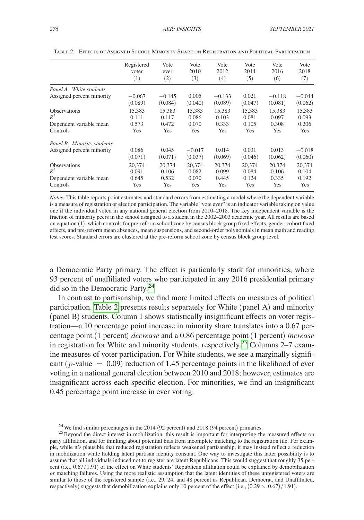|                            | Registered | Vote     | Vote     | Vote     | Vote       | Vote     | Vote     |
|----------------------------|------------|----------|----------|----------|------------|----------|----------|
|                            | voter      | ever     | 2010     | 2012     | 2014       | 2016     | 2018     |
|                            | (1)        | (2)      | (3)      | (4)      | (5)        | (6)      | (7)      |
| Panel A. White students    | $-0.067$   | $-0.145$ | 0.005    | $-0.133$ | 0.021      | $-0.118$ | $-0.044$ |
| Assigned percent minority  | (0.089)    | (0.084)  | (0.040)  | (0.089)  | (0.047)    | (0.081)  | (0.062)  |
| <b>Observations</b>        | 15,383     | 15.383   | 15,383   | 15,383   | 15.383     | 15,383   | 15,383   |
| $R^2$                      | 0.111      | 0.117    | 0.086    | 0.103    | 0.081      | 0.097    | 0.093    |
| Dependent variable mean    | 0.573      | 0.472    | 0.070    | 0.333    | 0.105      | 0.308    | 0.206    |
| Controls                   | Yes        | Yes      | Yes      | Yes      | Yes        | Yes      | Yes      |
| Panel B. Minority students | 0.086      | 0.045    | $-0.017$ | 0.014    | 0.031      | 0.013    | $-0.018$ |
| Assigned percent minority  | (0.071)    | (0.071)  | (0.037)  | (0.069)  | (0.046)    | (0.062)  | (0.060)  |
| <b>Observations</b>        | 20.374     | 20.374   | 20.374   | 20.374   | 20.374     | 20.374   | 20.374   |
| $R^2$                      | 0.091      | 0.106    | 0.082    | 0.099    | 0.084      | 0.106    | 0.104    |
| Dependent variable mean    | 0.645      | 0.532    | 0.070    | 0.445    | 0.124      | 0.335    | 0.192    |
| Controls                   | Yes        | Yes      | Yes      | Yes      | <b>Yes</b> | Yes      | Yes      |

Table 2—Effects of Assigned School Minority Share on Registration and Political Participation

*Notes:* This table reports point estimates and standard errors from estimating a model where the dependent variable is a measure of registration or election participation. The variable "vote ever" is an indicator variable taking on value one if the individual voted in any national general election from 2010–2018. The key independent variable is the fraction of minority peers in the school assigned to a student in the 2002–2003 academic year. All results are based on equation (1), which controls for pre-reform school zone by census block group fixed effects, gender, cohort fixed effects, and pre-reform mean absences, mean suspensions, and second-order polynomials in mean math and reading test scores. Standard errors are clustered at the pre-reform school zone by census block group level.

a Democratic Party primary. The effect is particularly stark for minorities, where 93 percent of unaffiliated voters who participated in any 2016 presidential primary did so in the Democratic Party.<sup>[24](#page-9-0)</sup>

In contrast to partisanship, we find more limited effects on measures of political participation. Table 2 presents results separately for White (panel A) and minority (panel B) students. Column 1 shows statistically insignificant effects on voter registration—a 10 percentage point increase in minority share translates into a 0.67 percentage point (1 percent) *decrease* and a 0.86 percentage point (1 percent) *increase*  in registration for White and minority students, respectively.<sup>25</sup> Columns 2–7 examine measures of voter participation. For White students, we see a marginally significant ( $p$ -value  $= 0.09$ ) reduction of 1.45 percentage points in the likelihood of ever voting in a national general election between 2010 and 2018; however, estimates are insignificant across each specific election. For minorities, we find an insignificant 0.45 percentage point increase in ever voting.

<span id="page-9-1"></span><span id="page-9-0"></span>

<sup>&</sup>lt;sup>24</sup>We find similar percentages in the 2014 (92 percent) and 2018 (94 percent) primaries.<br><sup>25</sup>Beyond the direct interest in mobilization, this result is important for interpreting the measured effects on party affiliation, and for thinking about potential bias from incomplete matching to the registration file. For example, while it's plausible that reduced registration reflects weakened partisanship, it may instead reflect a reduction in mobilization while holding latent partisan identity constant. One way to investigate this latter possibility is to assume that all individuals induced not to register are latent Republicans. This would suggest that roughly 35 percent (i.e., 0.67/1.91) of the effect on White students' Republican affiliation could be explained by demobilization *or* matching failures. Using the more realistic assumption that the latent identities of these unregistered voters are similar to those of the registered sample (i.e., 29, 24, and 48 percent as Republican, Democrat, and Unaffiliated, respectively) suggests that demobilization explains only 10 percent of the effect (i.e.,  $(0.29 \times 0.67)/1.91$ ).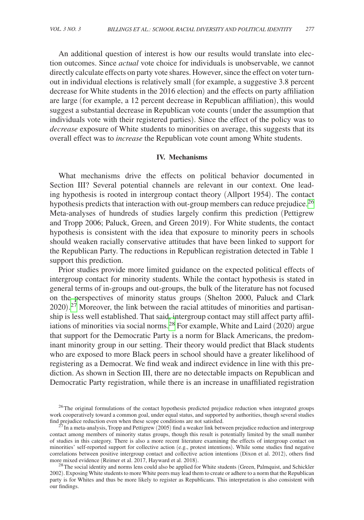An additional question of interest is how our results would translate into election outcomes. Since *actual* vote choice for individuals is unobservable, we cannot directly calculate effects on party vote shares. However, since the effect on voter turnout in individual elections is relatively small (for example, a suggestive 3.8 percent decrease for White students in the 2016 election) and the effects on party affiliation are large (for example, a 12 percent decrease in Republican affiliation), this would suggest a substantial decrease in Republican vote counts (under the assumption that individuals vote with their registered parties). Since the effect of the policy was to *decrease* exposure of White students to minorities on average, this suggests that its overall effect was to *increase* the Republican vote count among White students.

## **IV. Mechanisms**

What mechanisms drive the effects on political behavior documented in Section III? Several potential channels are relevant in our context. One leading hypothesis is rooted in intergroup contact theory (Allport 1954). The contact hypothesis predicts that interaction with out-group members can reduce prejudice.<sup>26</sup> Meta-analyses of hundreds of studies largely confirm this prediction (Pettigrew and Tropp 2006; Paluck, Green, and Green 2019). For White students, the contact hypothesis is consistent with the idea that exposure to minority peers in schools should weaken racially conservative attitudes that have been linked to support for the Republican Party. The reductions in Republican registration detected in Table 1 support this prediction.

Prior studies provide more limited guidance on the expected political effects of intergroup contact for minority students. While the contact hypothesis is stated in general terms of in-groups and out-groups, the bulk of the literature has not focused on the perspectives of minority status groups (Shelton 2000, Paluck and Clark  $2020$ ).<sup>27</sup> Moreover, the link between the racial attitudes of minorities and partisanship is less well established. That said, intergroup contact may still affect party affil-iations of minorities via social norms.<sup>[28](#page-10-2)</sup> For example, White and Laird  $(2020)$  argue that support for the Democratic Party is a norm for Black Americans, the predominant minority group in our setting. Their theory would predict that Black students who are exposed to more Black peers in school should have a greater likelihood of registering as a Democrat. We find weak and indirect evidence in line with this prediction. As shown in Section III, there are no detectable impacts on Republican and Democratic Party registration, while there is an increase in unaffiliated registration

<span id="page-10-0"></span><sup>&</sup>lt;sup>26</sup>The original formulations of the contact hypothesis predicted prejudice reduction when integrated groups work cooperatively toward a common goal, under equal status, and supported by authorities, though several studies find prejudice reduction even when these scope conditions are not satisfied.

<span id="page-10-1"></span> $^{27}$  In a meta-analysis, Tropp and Pettigrew (2005) find a weaker link between prejudice reduction and intergroup contact among members of minority status groups, though this result is potentially limited by the small number of studies in this category. There is also a more recent literature examining the effects of intergroup contact on minorities' self-reported support for collective action (e.g., protest intentions). While some studies find negative correlations between positive intergroup contact and collective action intentions (Dixon et al. 2012), others find more mixed evidence (Reimer et al. 2017, Hayward et al. 2018).

<span id="page-10-2"></span><sup>&</sup>lt;sup>28</sup>The social identity and norms lens could also be applied for White students (Green, Palmquist, and Schickler 2002). Exposing White students to more White peers may lead them to create or adhere to a norm that the Republican party is for Whites and thus be more likely to register as Republicans. This interpretation is also consistent with our findings.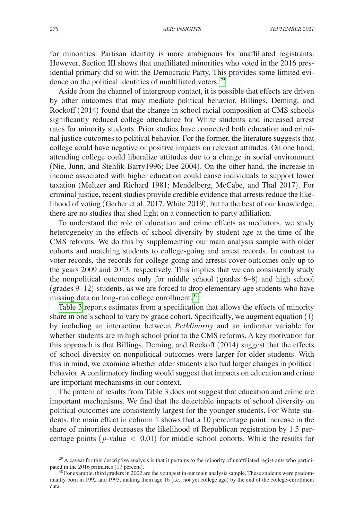for minorities. Partisan identity is more ambiguous for unaffiliated registrants. However, Section III shows that unaffiliated minorities who voted in the 2016 presidential primary did so with the Democratic Party. This provides some limited evidence on the political identities of unaffiliated voters.<sup>29</sup>

Aside from the channel of intergroup contact, it is possible that effects are driven by other outcomes that may mediate political behavior. Billings, Deming, and Rockoff (2014) found that the change in school racial composition at CMS schools significantly reduced college attendance for White students and increased arrest rates for minority students. Prior studies have connected both education and criminal justice outcomes to political behavior. For the former, the literature suggests that college could have negative or positive impacts on relevant attitudes. On one hand, attending college could liberalize attitudes due to a change in social environment (Nie, Junn, and Stehlik-Barry1996; Dee 2004). On the other hand, the increase in income associated with higher education could cause individuals to support lower taxation (Meltzer and Richard 1981; Mendelberg, McCabe, and Thal 2017). For criminal justice, recent studies provide credible evidence that arrests reduce the likelihood of voting (Gerber et al. 2017, White 2019), but to the best of our knowledge, there are no studies that shed light on a connection to party affiliation.

To understand the role of education and crime effects as mediators, we study heterogeneity in the effects of school diversity by student age at the time of the CMS reforms. We do this by supplementing our main analysis sample with older cohorts and matching students to college-going and arrest records. In contrast to voter records, the records for college-going and arrests cover outcomes only up to the years 2009 and 2013, respectively. This implies that we can consistently study the nonpolitical outcomes only for middle school (grades 6–8) and high school (grades 9–12) students, as we are forced to drop elementary-age students who have missing data on long-run college enrollment.<sup>30</sup>

[Table 3](#page-12-0) reports estimates from a specification that allows the effects of minority share in one's school to vary by grade cohort. Specifically, we augment equation (1) by including an interaction between *PctMinority* and an indicator variable for whether students are in high school prior to the CMS reforms. A key motivation for this approach is that Billings, Deming, and Rockoff (2014) suggest that the effects of school diversity on nonpolitical outcomes were larger for older students. With this in mind, we examine whether older students also had larger changes in political behavior. A confirmatory finding would suggest that impacts on education and crime are important mechanisms in our context.

The pattern of results from Table 3 does not suggest that education and crime are important mechanisms. We find that the detectable impacts of school diversity on political outcomes are consistently largest for the younger students. For White students, the main effect in column 1 shows that a 10 percentage point increase in the share of minorities decreases the likelihood of Republican registration by 1.5 percentage points ( $p$ -value  $\langle 0.01 \rangle$  for middle school cohorts. While the results for

<span id="page-11-0"></span><sup>&</sup>lt;sup>29</sup>A caveat for this descriptive analysis is that it pertains to the minority of unaffiliated registrants who partici-<br>pated in the 2016 primaries (17 percent).

<span id="page-11-1"></span> $30$  For example, third graders in 2002 are the youngest in our main analysis sample. These students were predominantly born in 1992 and 1993, making them age 16 (i.e., not yet college age) by the end of the college-enrollment data.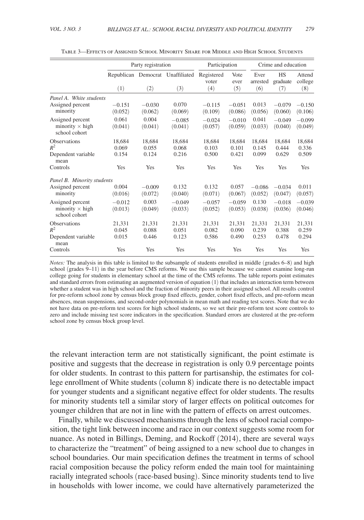<span id="page-12-0"></span>

|                                                             | Party registration       |                          |                                         | Participation              |                          | Crime and education      |                              |                          |
|-------------------------------------------------------------|--------------------------|--------------------------|-----------------------------------------|----------------------------|--------------------------|--------------------------|------------------------------|--------------------------|
|                                                             | (1)                      | (2)                      | Republican Democrat Unaffiliated<br>(3) | Registered<br>voter<br>(4) | Vote<br>ever<br>(5)      | Ever<br>arrested<br>(6)  | <b>HS</b><br>graduate<br>(7) | Attend<br>college<br>(8) |
| Panel A. White students                                     |                          |                          |                                         |                            |                          |                          |                              |                          |
| Assigned percent<br>minority                                | $-0.151$<br>(0.052)      | $-0.030$<br>(0.062)      | 0.070<br>(0.069)                        | $-0.115$<br>(0.109)        | $-0.051$<br>(0.086)      | 0.013<br>(0.056)         | $-0.079$<br>(0.060)          | $-0.150$<br>(0.106)      |
| Assigned percent<br>minority $\times$ high<br>school cohort | 0.061<br>(0.041)         | 0.004<br>(0.041)         | $-0.085$<br>(0.041)                     | $-0.024$<br>(0.057)        | $-0.010$<br>(0.059)      | 0.041<br>(0.033)         | $-0.049$<br>(0.040)          | $-0.099$<br>(0.049)      |
| <b>Observations</b><br>$R^2$<br>Dependent variable          | 18.684<br>0.069<br>0.154 | 18.684<br>0.055<br>0.124 | 18.684<br>0.068<br>0.216                | 18.684<br>0.103<br>0.500   | 18.684<br>0.101<br>0.421 | 18.684<br>0.145<br>0.099 | 18.684<br>0.444<br>0.629     | 18.684<br>0.336<br>0.509 |
| mean<br>Controls                                            | Yes                      | Yes                      | Yes                                     | Yes                        | Yes                      | Yes                      | Yes                          | Yes                      |
| Panel B. Minority students                                  |                          |                          |                                         |                            |                          |                          |                              |                          |
| Assigned percent<br>minority                                | 0.004<br>(0.016)         | $-0.009$<br>(0.072)      | 0.132<br>(0.040)                        | 0.132<br>(0.071)           | 0.057<br>(0.067)         | $-0.086$<br>(0.052)      | $-0.034$<br>(0.047)          | 0.011<br>(0.057)         |
| Assigned percent<br>minority $\times$ high<br>school cohort | $-0.012$<br>(0.013)      | 0.003<br>(0.049)         | $-0.049$<br>(0.033)                     | $-0.057$<br>(0.052)        | $-0.059$<br>(0.053)      | 0.130<br>(0.038)         | $-0.018$<br>(0.036)          | $-0.039$<br>(0.046)      |
| <b>Observations</b><br>$R^2$                                | 21.331<br>0.045          | 21.331<br>0.088          | 21.331<br>0.051                         | 21.331<br>0.082            | 21.331<br>0.090          | 21.331<br>0.239          | 21.331<br>0.388              | 21.331<br>0.259          |
| Dependent variable<br>mean<br>Controls                      | 0.015<br>Yes             | 0.446<br>Yes             | 0.123<br>Yes                            | 0.586<br>Yes               | 0.490<br>Yes             | 0.253<br>Yes             | 0.478<br>Yes                 | 0.294<br>Yes             |

Table 3—Effects of Assigned School Minority Share for Middle and High School Students

*Notes:* The analysis in this table is limited to the subsample of students enrolled in middle (grades 6–8) and high school (grades 9–11) in the year before CMS reforms. We use this sample because we cannot examine long-run college going for students in elementary school at the time of the CMS reforms. The table reports point estimates and standard errors from estimating an augmented version of equation (1) that includes an interaction term between whether a student was in high school and the fraction of minority peers in their assigned school. All results control for pre-reform school zone by census block group fixed effects, gender, cohort fixed effects, and pre-reform mean absences, mean suspensions, and second-order polynomials in mean math and reading test scores. Note that we do not have data on pre-reform test scores for high school students, so we set their pre-reform test score controls to zero and include missing test score indicators in the specification. Standard errors are clustered at the pre-reform school zone by census block group level.

the relevant interaction term are not statistically significant, the point estimate is positive and suggests that the decrease in registration is only 0.9 percentage points for older students. In contrast to this pattern for partisanship, the estimates for college enrollment of White students (column 8) indicate there is no detectable impact for younger students and a significant negative effect for older students. The results for minority students tell a similar story of larger effects on political outcomes for younger children that are not in line with the pattern of effects on arrest outcomes.

Finally, while we discussed mechanisms through the lens of school racial composition, the tight link between income and race in our context suggests some room for nuance. As noted in Billings, Deming, and Rockoff (2014), there are several ways to characterize the "treatment" of being assigned to a new school due to changes in school boundaries. Our main specification defines the treatment in terms of school racial composition because the policy reform ended the main tool for maintaining racially integrated schools (race-based busing). Since minority students tend to live in households with lower income, we could have alternatively parameterized the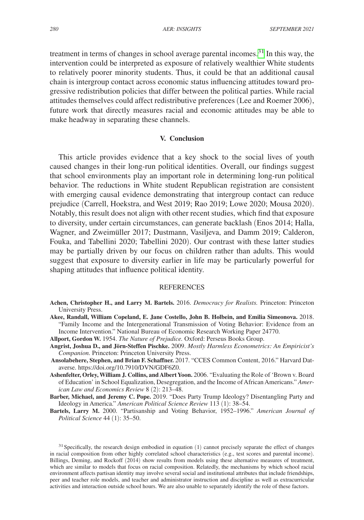treatment in terms of changes in school average parental incomes.<sup>31</sup> In this way, the intervention could be interpreted as exposure of relatively wealthier White students to relatively poorer minority students. Thus, it could be that an additional causal chain is intergroup contact across economic status influencing attitudes toward progressive redistribution policies that differ between the political parties. While racial attitudes themselves could affect redistributive preferences (Lee and Roemer 2006), future work that directly measures racial and economic attitudes may be able to make headway in separating these channels.

## **V. Conclusion**

This article provides evidence that a key shock to the social lives of youth caused changes in their long-run political identities. Overall, our findings suggest that school environments play an important role in determining long-run political behavior. The reductions in White student Republican registration are consistent with emerging causal evidence demonstrating that intergroup contact can reduce prejudice (Carrell, Hoekstra, and West 2019; Rao 2019; Lowe 2020; Mousa 2020). Notably, this result does not align with other recent studies, which find that exposure to diversity, under certain circumstances, can generate backlash (Enos 2014; Halla, Wagner, and Zweimüller 2017; Dustmann, Vasiljeva, and Damm 2019; Calderon, Fouka, and Tabellini 2020; Tabellini 2020). Our contrast with these latter studies may be partially driven by our focus on children rather than adults. This would suggest that exposure to diversity earlier in life may be particularly powerful for shaping attitudes that influence political identity.

#### REFERENCES

- **Achen, Christopher H., and Larry M. Bartels.** 2016. *Democracy for Realists.* Princeton: Princeton University Press.
- **Akee, Randall, William Copeland, E. Jane Costello, John B. Holbein, and Emilia Simeonova.** 2018. "Family Income and the Intergenerational Transmission of Voting Behavior: Evidence from an Income Intervention." National Bureau of Economic Research Working Paper 24770.
- **Allport, Gordon W.** 1954. *The Nature of Prejudice.* Oxford: Perseus Books Group.
- **Angrist, Joshua D., and Jörn-Steffen Pischke.** 2009. *Mostly Harmless Econometrics: An Empiricist's Companion.* Princeton: Princeton University Press.
- **Ansolabehere, Stephen, and Brian F. Schaffner.** 2017. "CCES Common Content, 2016." Harvard Dataverse. [https://doi.org/10.7910/DVN/GDF6Z0.](https://doi.org/10.7910/DVN/GDF6Z0)
- **Ashenfelter, Orley, William J. Collins, and Albert Yoon.** 2006. "Evaluating the Role of 'Brown v. Board of Education' in School Equalization, Desegregation, and the Income of African Americans." *American Law and Economics Review* 8 (2): 213–48.
- **Barber, Michael, and Jeremy C. Pope.** 2019. "Does Party Trump Ideology? Disentangling Party and Ideology in America." *American Political Science Review* 113 (1): 38–54.
- **Bartels, Larry M.** 2000. "Partisanship and Voting Behavior, 1952–1996." *American Journal of Political Science* 44 (1): 35–50.

<span id="page-13-0"></span> $31$  Specifically, the research design embodied in equation (1) cannot precisely separate the effect of changes in racial composition from other highly correlated school characteristics (e.g., test scores and parental income). Billings, Deming, and Rockoff (2014) show results from models using these alternative measures of treatment, which are similar to models that focus on racial composition. Relatedly, the mechanisms by which school racial environment affects partisan identity may involve several social and institutional attributes that include friendships, peer and teacher role models, and teacher and administrator instruction and discipline as well as extracurricular activities and interaction outside school hours. We are also unable to separately identify the role of these factors.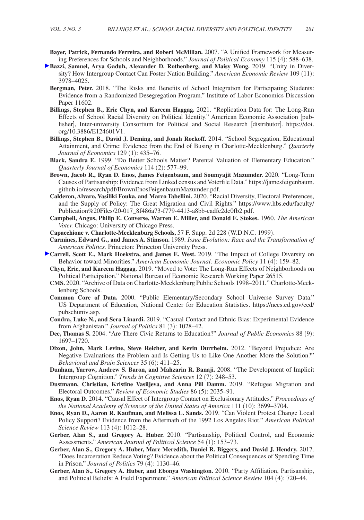- **Bayer, Patrick, Fernando Ferreira, and Robert McMillan.** 2007. "A Unified Framework for Measuring Preferences for Schools and Neighborhoods." *Journal of Political Economy* 115 (4): 588–638.
- **Bazzi, Samuel, Arya Gaduh, Alexander D. Rothenberg, and Maisy Wong.** 2019. "Unity in Diversity? How Intergroup Contact Can Foster Nation Building." *American Economic Review* 109 (11): 3978–4025.
	- **Bergman, Peter.** 2018. "The Risks and Benefits of School Integration for Participating Students: Evidence from a Randomized Desegregation Program." Institute of Labor Economics Discussion Paper 11602.
	- **Billings, Stephen B., Eric Chyn, and Kareem Haggag.** 2021. "Replication Data for: The Long-Run Effects of School Racial Diversity on Political Identity." American Economic Association [publisher], Inter-university Consortium for Political and Social Research [distributor]. [https://doi.](https://doi.org/10.3886/E124601V1) [org/10.3886/E124601V1.](https://doi.org/10.3886/E124601V1)
	- **Billings, Stephen B., David J. Deming, and Jonah Rockoff.** 2014. "School Segregation, Educational Attainment, and Crime: Evidence from the End of Busing in Charlotte-Mecklenburg." *Quarterly Journal of Economics* 129 (1): 435–76.
	- **Black, Sandra E.** 1999. "Do Better Schools Matter? Parental Valuation of Elementary Education." *Quarterly Journal of Economics* 114 (2): 577–99.
	- **Brown, Jacob R., Ryan D. Enos, James Feigenbaum, and Soumyajit Mazumder.** 2020. "Long-Term Causes of Partisanship: Evidence from Linked census and Voterfile Data." [https://jamesfeigenbaum.](https://jamesfeigenbaum.github.io/research/pdf/BrownEnosFeigenbaumMazumder.pdf) [github.io/research/pdf/BrownEnosFeigenbaumMazumder.pdf.](https://jamesfeigenbaum.github.io/research/pdf/BrownEnosFeigenbaumMazumder.pdf)
	- **Calderon, Alvaro, Vasiliki Fouka, and Marco Tabellini.** 2020. "Racial Diversity, Electoral Preferences, and the Supply of Policy: The Great Migration and Civil Rights." [https://www.hbs.edu/faculty/](https://www.hbs.edu/faculty/Publication%20Files/20-017_8f486a73-f779-4413-a8bb-cadfe2dc0fb2.pdf) [Publication%20Files/20-017\\_8f486a73-f779-4413-a8bb-cadfe2dc0fb2.pdf.](https://www.hbs.edu/faculty/Publication%20Files/20-017_8f486a73-f779-4413-a8bb-cadfe2dc0fb2.pdf)
	- **Campbell, Angus, Philip E. Converse, Warren E. Miller, and Donald E. Stokes.** 1960. *The American Voter.* Chicago: University of Chicago Press.
	- **Capacchione v. Charlotte-Mecklenburg Schools,** 57 F. Supp. 2d 228 (W.D.N.C. 1999).
	- **Carmines, Edward G., and James A. Stimson.** 1989. *Issue Evolution: Race and the Transformation of American Politics.* Princeton: Princeton University Press.
- **[C](http://pubs.aeaweb.org/action/showLinks?system=10.1257%2Fpol.20170069&citationId=p_26)arrell, Scott E., Mark Hoekstra, and James E. West. 2019. "The Impact of College Diversity on** Behavior toward Minorities." *American Economic Journal: Economic Policy* 11 (4): 159–82.
	- **Chyn, Eric, and Kareem Haggag.** 2019. "Moved to Vote: The Long-Run Effects of Neighborhoods on Political Participation." National Bureau of Economic Research Working Paper 26515.
	- **CMS.** 2020. "Archive of Data on Charlotte-Mecklenburg Public Schools 1998–2011*.*" Charlotte-Mecklenburg Schools.
	- **Common Core of Data.** 2000. "Public Elementary/Secondary School Universe Survey Data." US Department of Education, National Center for Education Statistics. [https://nces.ed.gov/ccd/](https://nces.ed.gov/ccd/pubschuniv.asp) [pubschuniv.asp.](https://nces.ed.gov/ccd/pubschuniv.asp)
	- **Condra, Luke N., and Sera Linardi.** 2019. "Casual Contact and Ethnic Bias: Experimental Evidence from Afghanistan." *Journal of Politics* 81 (3): 1028–42.
	- **Dee, Thomas S.** 2004. "Are There Civic Returns to Education?" *Journal of Public Economics* 88 (9): 1697–1720.
	- **Dixon, John, Mark Levine, Steve Reicher, and Kevin Durrheim.** 2012. "Beyond Prejudice: Are Negative Evaluations the Problem and Is Getting Us to Like One Another More the Solution?" *Behavioral and Brain Sciences* 35 (6): 411–25.
	- **Dunham, Yarrow, Andrew S. Baron, and Mahzarin R. Banaji.** 2008. "The Development of Implicit Intergroup Cognition." *Trends in Cognitive Sciences* 12 (7): 248–53.
	- **Dustmann, Christian, Kristine Vasiljeva, and Anna Piil Damm.** 2019. "Refugee Migration and Electoral Outcomes." *Review of Economic Studies* 86 (5): 2035–91.
	- **Enos, Ryan D.** 2014. "Causal Effect of Intergroup Contact on Exclusionary Attitudes." *Proceedings of the National Academy of Sciences of the United States of America* 111 (10): 3699–3704.
	- **Enos, Ryan D., Aaron R. Kaufman, and Melissa L. Sands.** 2019. "Can Violent Protest Change Local Policy Support? Evidence from the Aftermath of the 1992 Los Angeles Riot." *American Political Science Review* 113 (4): 1012–28.
	- **Gerber, Alan S., and Gregory A. Huber.** 2010. "Partisanship, Political Control, and Economic Assessments." *American Journal of Political Science* 54 (1): 153–73.
	- **Gerber, Alan S., Gregory A. Huber, Marc Meredith, Daniel R. Biggers, and David J. Hendry.** 2017. "Does Incarceration Reduce Voting? Evidence about the Political Consequences of Spending Time in Prison." *Journal of Politics* 79 (4): 1130–46.
	- **Gerber, Alan S., Gregory A. Huber, and Ebonya Washington.** 2010. "Party Affiliation, Partisanship, and Political Beliefs: A Field Experiment." *American Political Science Review* 104 (4): 720–44.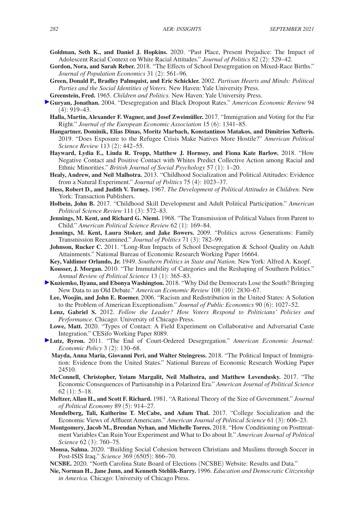- **Goldman, Seth K., and Daniel J. Hopkins.** 2020. "Past Place, Present Prejudice: The Impact of Adolescent Racial Context on White Racial Attitudes." *Journal of Politics* 82 (2): 529–42.
- **Gordon, Nora, and Sarah Reber.** 2018. "The Effects of School Desegregation on Mixed-Race Births." *Journal of Population Economics* 31 (2): 561–96.
- **Green, Donald P., Bradley Palmquist, and Eric Schickler.** 2002. *Partisan Hearts and Minds: Political Parties and the Social Identities of Voters.* New Haven: Yale University Press.
- **Greenstein, Fred.** 1965. *Children and Politics.* New Haven: Yale University Press.
- **Guryan, Jonathan.** 2004. "Desegregation and Black Dropout Rates." *American Economic Review* 94  $(4): 919 - 43.$ 
	- **Halla, Martin, Alexander F. Wagner, and Josef Zweimüller.** 2017. "Immigration and Voting for the Far Right." *Journal of the European Economic Association* 15 (6): 1341–85.
	- **Hangartner, Dominik, Elias Dinas, Moritz Marbach, Konstantinos Matakos, and Dimitrios Xefteris.**  2019. "Does Exposure to the Refugee Crisis Make Natives More Hostile?" *American Political Science Review* 113 (2): 442–55.
	- **Hayward, Lydia E., Linda R. Tropp, Matthew J. Hornsey, and Fiona Kate Barlow.** 2018. "How Negative Contact and Positive Contact with Whites Predict Collective Action among Racial and Ethnic Minorities." *British Journal of Social Psychology* 57 (1): 1–20.
	- **Healy, Andrew, and Neil Malhotra.** 2013. "Childhood Socialization and Political Attitudes: Evidence from a Natural Experiment." *Journal of Politics* 75 (4): 1023–37.
	- **Hess, Robert D., and Judith V. Torney.** 1967. *The Development of Political Attitudes in Children.* New York: Transaction Publishers.
	- **Holbein, John B.** 2017. "Childhood Skill Development and Adult Political Participation." *American Political Science Review* 111 (3): 572–83.
	- **Jennings, M. Kent, and Richard G. Niemi.** 1968. "The Transmission of Political Values from Parent to Child." *American Political Science Review* 62 (1): 169–84.
	- **Jennings, M. Kent, Laura Stoker, and Jake Bowers.** 2009. "Politics across Generations: Family Transmission Reexamined." *Journal of Politics* 71 (3): 782–99.
	- **Johnson, Rucker C.** 2011. "Long-Run Impacts of School Desegregation & School Quality on Adult Attainments." National Bureau of Economic Research Working Paper 16664.
	- **Key, Valdimer Orlando, Jr.** 1949. *Southern Politics in State and Nation.* New York: Alfred A. Knopf.
	- **Kousser, J. Morgan.** 2010. "The Immutability of Categories and the Reshaping of Southern Politics." *Annual Review of Political Science* 13 (1): 365–83.
- **Kuziemko, Ilyana, and Ebonya Washington.** 2018. "Why Did the Democrats Lose the South? Bringing New Data to an Old Debate." *American Economic Review* 108 (10): 2830–67.
	- **Lee, Woojin, and John E. Roemer.** 2006. "Racism and Redistribution in the United States: A Solution to the Problem of American Exceptionalism." *Journal of Public Economics* 90 (6): 1027–52.
	- **Lenz, Gabriel S.** 2012. *Follow the Leader? How Voters Respond to Politicians' Policies and Performance.* Chicago: University of Chicago Press.
	- **Lowe, Matt.** 2020. "Types of Contact: A Field Experiment on Collaborative and Adversarial Caste Integration." CESifo Working Paper 8089.
- **Lutz, Byron.** 2011. "The End of Court-Ordered Desegregation." *American Economic Journal: Economic Policy* 3 (2): 130–68.
	- **Mayda, Anna Maria, Giovanni Peri, and Walter Steingress.** 2018. "The Political Impact of Immigration: Evidence from the United States." National Bureau of Economic Research Working Paper 24510.
	- **McConnell, Christopher, Yotam Margalit, Neil Malhotra, and Matthew Levendusky.** 2017. "The Economic Consequences of Partisanship in a Polarized Era." *American Journal of Political Science*  $62$  (1):  $5-18$ .
	- **Meltzer, Allan H., and Scott F. Richard.** 1981. "A Rational Theory of the Size of Government." *Journal of Political Economy* 89 (5): 914–27.
	- **Mendelberg, Tali, Katherine T. McCabe, and Adam Thal.** 2017. "College Socialization and the Economic Views of Affluent Americans." *American Journal of Political Science* 61 (3): 606–23.
	- **Montgomery, Jacob M., Brendan Nyhan, and Michelle Torres.** 2018. "How Conditioning on Posttreatment Variables Can Ruin Your Experiment and What to Do about It." *American Journal of Political Science* 62 (3): 760–75.
	- **Mousa, Salma.** 2020. "Building Social Cohesion between Christians and Muslims through Soccer in Post-ISIS Iraq." *Science* 369 (6505): 866–70.
	- **NCSBE.** 2020. "North Carolina State Board of Elections (NCSBE) Website: Results and Data."
	- **Nie, Norman H., Jane Junn, and Kenneth Stehlik-Barry.** 1996. *Education and Democratic Citizenship in America.* Chicago: University of Chicago Press.